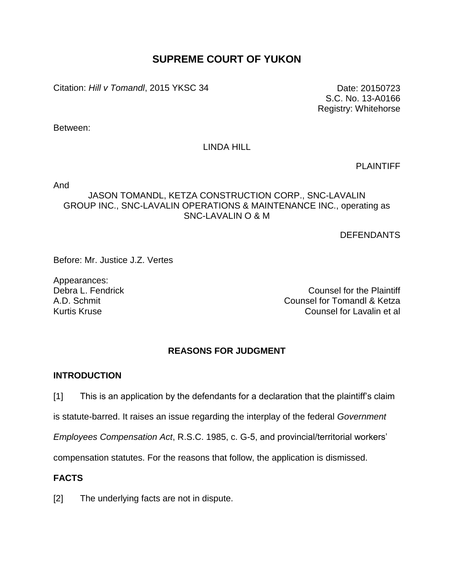# **SUPREME COURT OF YUKON**

Citation: *Hill v Tomandl*, 2015 YKSC 34 Date: 20150723

S.C. No. 13-A0166 Registry: Whitehorse

Between:

## LINDA HILL

PLAINTIFF

And

# JASON TOMANDL, KETZA CONSTRUCTION CORP., SNC-LAVALIN GROUP INC., SNC-LAVALIN OPERATIONS & MAINTENANCE INC., operating as SNC-LAVALIN O & M

**DEFENDANTS** 

Before: Mr. Justice J.Z. Vertes

Appearances:

Debra L. Fendrick Counsel for the Plaintiff A.D. Schmit Counsel for Tomandl & Ketza Kurtis Kruse Counsel for Lavalin et al

## **REASONS FOR JUDGMENT**

## **INTRODUCTION**

[1] This is an application by the defendants for a declaration that the plaintiff's claim

is statute-barred. It raises an issue regarding the interplay of the federal *Government* 

*Employees Compensation Act*, R.S.C. 1985, c. G-5, and provincial/territorial workers'

compensation statutes. For the reasons that follow, the application is dismissed.

# **FACTS**

[2] The underlying facts are not in dispute.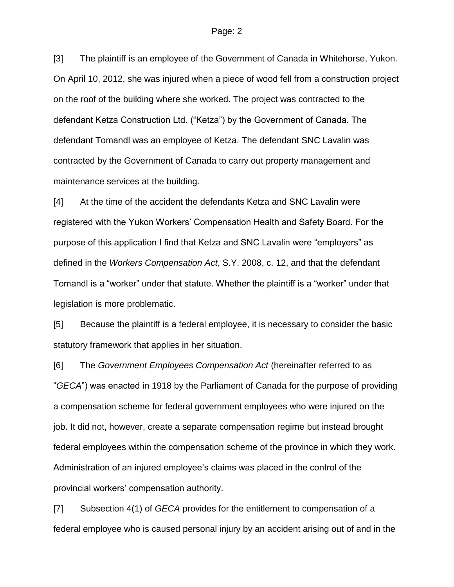[3] The plaintiff is an employee of the Government of Canada in Whitehorse, Yukon. On April 10, 2012, she was injured when a piece of wood fell from a construction project on the roof of the building where she worked. The project was contracted to the defendant Ketza Construction Ltd. ("Ketza") by the Government of Canada. The defendant Tomandl was an employee of Ketza. The defendant SNC Lavalin was contracted by the Government of Canada to carry out property management and maintenance services at the building.

[4] At the time of the accident the defendants Ketza and SNC Lavalin were registered with the Yukon Workers' Compensation Health and Safety Board. For the purpose of this application I find that Ketza and SNC Lavalin were "employers" as defined in the *Workers Compensation Act*, S.Y. 2008, c. 12, and that the defendant Tomandl is a "worker" under that statute. Whether the plaintiff is a "worker" under that legislation is more problematic.

[5] Because the plaintiff is a federal employee, it is necessary to consider the basic statutory framework that applies in her situation.

[6] The *Government Employees Compensation Act* (hereinafter referred to as "*GECA*") was enacted in 1918 by the Parliament of Canada for the purpose of providing a compensation scheme for federal government employees who were injured on the job. It did not, however, create a separate compensation regime but instead brought federal employees within the compensation scheme of the province in which they work. Administration of an injured employee's claims was placed in the control of the provincial workers' compensation authority.

[7] Subsection 4(1) of *GECA* provides for the entitlement to compensation of a federal employee who is caused personal injury by an accident arising out of and in the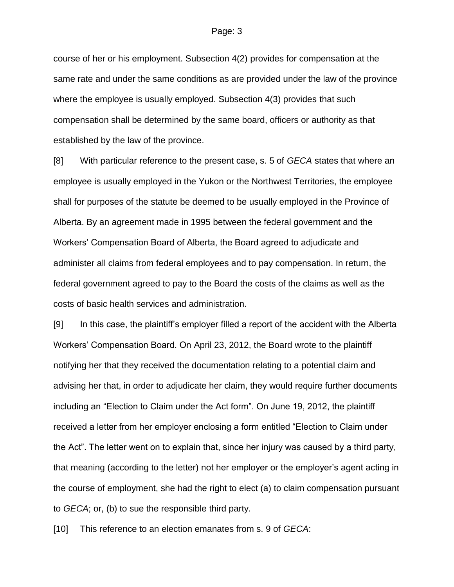course of her or his employment. Subsection 4(2) provides for compensation at the same rate and under the same conditions as are provided under the law of the province where the employee is usually employed. Subsection 4(3) provides that such compensation shall be determined by the same board, officers or authority as that established by the law of the province.

[8] With particular reference to the present case, s. 5 of *GECA* states that where an employee is usually employed in the Yukon or the Northwest Territories, the employee shall for purposes of the statute be deemed to be usually employed in the Province of Alberta. By an agreement made in 1995 between the federal government and the Workers' Compensation Board of Alberta, the Board agreed to adjudicate and administer all claims from federal employees and to pay compensation. In return, the federal government agreed to pay to the Board the costs of the claims as well as the costs of basic health services and administration.

[9] In this case, the plaintiff's employer filled a report of the accident with the Alberta Workers' Compensation Board. On April 23, 2012, the Board wrote to the plaintiff notifying her that they received the documentation relating to a potential claim and advising her that, in order to adjudicate her claim, they would require further documents including an "Election to Claim under the Act form". On June 19, 2012, the plaintiff received a letter from her employer enclosing a form entitled "Election to Claim under the Act". The letter went on to explain that, since her injury was caused by a third party, that meaning (according to the letter) not her employer or the employer's agent acting in the course of employment, she had the right to elect (a) to claim compensation pursuant to *GECA*; or, (b) to sue the responsible third party.

[10] This reference to an election emanates from s. 9 of *GECA*: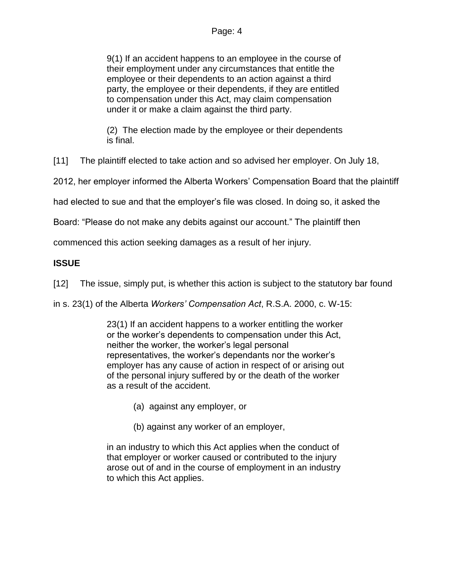9(1) If an accident happens to an employee in the course of their employment under any circumstances that entitle the employee or their dependents to an action against a third party, the employee or their dependents, if they are entitled to compensation under this Act, may claim compensation under it or make a claim against the third party.

(2) The election made by the employee or their dependents is final.

[11] The plaintiff elected to take action and so advised her employer. On July 18,

2012, her employer informed the Alberta Workers' Compensation Board that the plaintiff

had elected to sue and that the employer's file was closed. In doing so, it asked the

Board: "Please do not make any debits against our account." The plaintiff then

commenced this action seeking damages as a result of her injury.

# **ISSUE**

[12] The issue, simply put, is whether this action is subject to the statutory bar found

in s. 23(1) of the Alberta *Workers' Compensation Act*, R.S.A. 2000, c. W-15:

23(1) If an accident happens to a worker entitling the worker or the worker's dependents to compensation under this Act, neither the worker, the worker's legal personal representatives, the worker's dependants nor the worker's employer has any cause of action in respect of or arising out of the personal injury suffered by or the death of the worker as a result of the accident.

- (a) against any employer, or
- (b) against any worker of an employer,

in an industry to which this Act applies when the conduct of that employer or worker caused or contributed to the injury arose out of and in the course of employment in an industry to which this Act applies.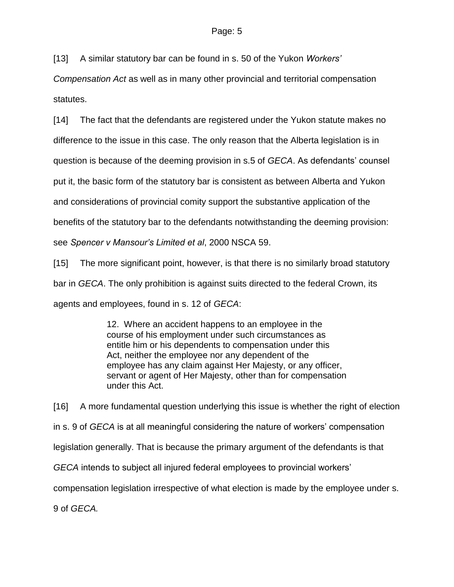[13] A similar statutory bar can be found in s. 50 of the Yukon *Workers'* 

*Compensation Act* as well as in many other provincial and territorial compensation statutes.

[14] The fact that the defendants are registered under the Yukon statute makes no

difference to the issue in this case. The only reason that the Alberta legislation is in

question is because of the deeming provision in s.5 of *GECA*. As defendants' counsel

put it, the basic form of the statutory bar is consistent as between Alberta and Yukon

and considerations of provincial comity support the substantive application of the

benefits of the statutory bar to the defendants notwithstanding the deeming provision:

see *Spencer v Mansour's Limited et al*, 2000 NSCA 59.

[15] The more significant point, however, is that there is no similarly broad statutory bar in *GECA*. The only prohibition is against suits directed to the federal Crown, its agents and employees, found in s. 12 of *GECA*:

> 12. Where an accident happens to an employee in the course of his employment under such circumstances as entitle him or his dependents to compensation under this Act, neither the employee nor any dependent of the employee has any claim against Her Majesty, or any officer, servant or agent of Her Majesty, other than for compensation under this Act.

[16] A more fundamental question underlying this issue is whether the right of election in s. 9 of *GECA* is at all meaningful considering the nature of workers' compensation legislation generally. That is because the primary argument of the defendants is that *GECA* intends to subject all injured federal employees to provincial workers' compensation legislation irrespective of what election is made by the employee under s. 9 of *GECA.*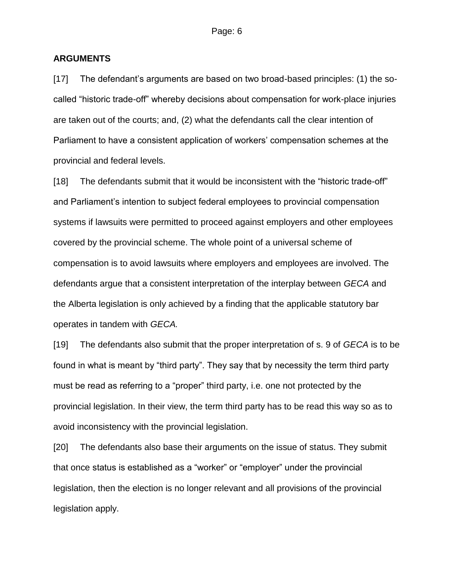## **ARGUMENTS**

[17] The defendant's arguments are based on two broad-based principles: (1) the socalled "historic trade-off" whereby decisions about compensation for work-place injuries are taken out of the courts; and, (2) what the defendants call the clear intention of Parliament to have a consistent application of workers' compensation schemes at the provincial and federal levels.

[18] The defendants submit that it would be inconsistent with the "historic trade-off" and Parliament's intention to subject federal employees to provincial compensation systems if lawsuits were permitted to proceed against employers and other employees covered by the provincial scheme. The whole point of a universal scheme of compensation is to avoid lawsuits where employers and employees are involved. The defendants argue that a consistent interpretation of the interplay between *GECA* and the Alberta legislation is only achieved by a finding that the applicable statutory bar operates in tandem with *GECA.*

[19] The defendants also submit that the proper interpretation of s. 9 of *GECA* is to be found in what is meant by "third party". They say that by necessity the term third party must be read as referring to a "proper" third party, i.e. one not protected by the provincial legislation. In their view, the term third party has to be read this way so as to avoid inconsistency with the provincial legislation.

[20] The defendants also base their arguments on the issue of status. They submit that once status is established as a "worker" or "employer" under the provincial legislation, then the election is no longer relevant and all provisions of the provincial legislation apply.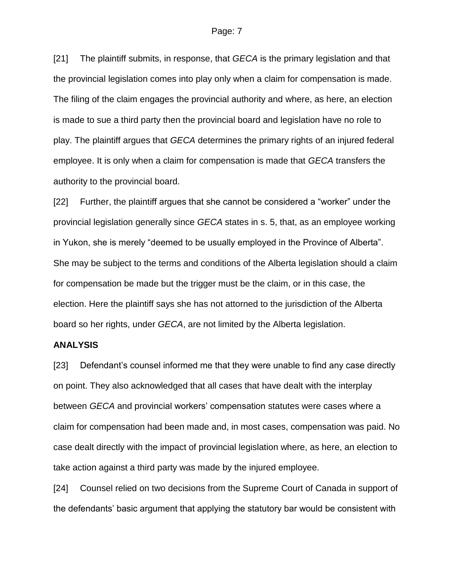[21] The plaintiff submits, in response, that *GECA* is the primary legislation and that the provincial legislation comes into play only when a claim for compensation is made. The filing of the claim engages the provincial authority and where, as here, an election is made to sue a third party then the provincial board and legislation have no role to play. The plaintiff argues that *GECA* determines the primary rights of an injured federal employee. It is only when a claim for compensation is made that *GECA* transfers the authority to the provincial board.

[22] Further, the plaintiff argues that she cannot be considered a "worker" under the provincial legislation generally since *GECA* states in s. 5, that, as an employee working in Yukon, she is merely "deemed to be usually employed in the Province of Alberta". She may be subject to the terms and conditions of the Alberta legislation should a claim for compensation be made but the trigger must be the claim, or in this case, the election. Here the plaintiff says she has not attorned to the jurisdiction of the Alberta board so her rights, under *GECA*, are not limited by the Alberta legislation.

### **ANALYSIS**

[23] Defendant's counsel informed me that they were unable to find any case directly on point. They also acknowledged that all cases that have dealt with the interplay between *GECA* and provincial workers' compensation statutes were cases where a claim for compensation had been made and, in most cases, compensation was paid. No case dealt directly with the impact of provincial legislation where, as here, an election to take action against a third party was made by the injured employee.

[24] Counsel relied on two decisions from the Supreme Court of Canada in support of the defendants' basic argument that applying the statutory bar would be consistent with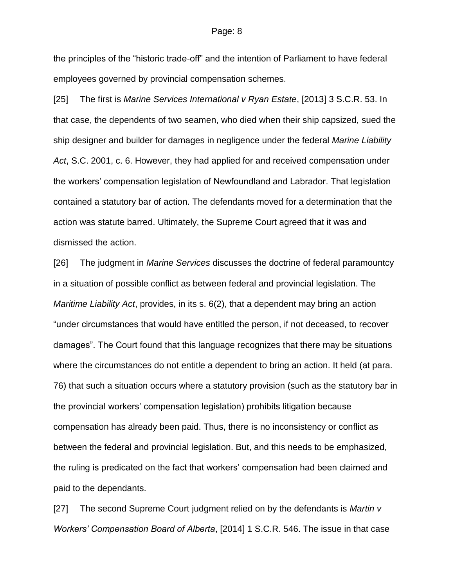the principles of the "historic trade-off" and the intention of Parliament to have federal employees governed by provincial compensation schemes.

[25] The first is *Marine Services International v Ryan Estate*, [2013] 3 S.C.R. 53. In that case, the dependents of two seamen, who died when their ship capsized, sued the ship designer and builder for damages in negligence under the federal *Marine Liability Act*, S.C. 2001, c. 6. However, they had applied for and received compensation under the workers' compensation legislation of Newfoundland and Labrador. That legislation contained a statutory bar of action. The defendants moved for a determination that the action was statute barred. Ultimately, the Supreme Court agreed that it was and dismissed the action.

[26] The judgment in *Marine Services* discusses the doctrine of federal paramountcy in a situation of possible conflict as between federal and provincial legislation. The *Maritime Liability Act*, provides, in its s. 6(2), that a dependent may bring an action "under circumstances that would have entitled the person, if not deceased, to recover damages". The Court found that this language recognizes that there may be situations where the circumstances do not entitle a dependent to bring an action. It held (at para. 76) that such a situation occurs where a statutory provision (such as the statutory bar in the provincial workers' compensation legislation) prohibits litigation because compensation has already been paid. Thus, there is no inconsistency or conflict as between the federal and provincial legislation. But, and this needs to be emphasized, the ruling is predicated on the fact that workers' compensation had been claimed and paid to the dependants.

[27] The second Supreme Court judgment relied on by the defendants is *Martin v Workers' Compensation Board of Alberta*, [2014] 1 S.C.R. 546. The issue in that case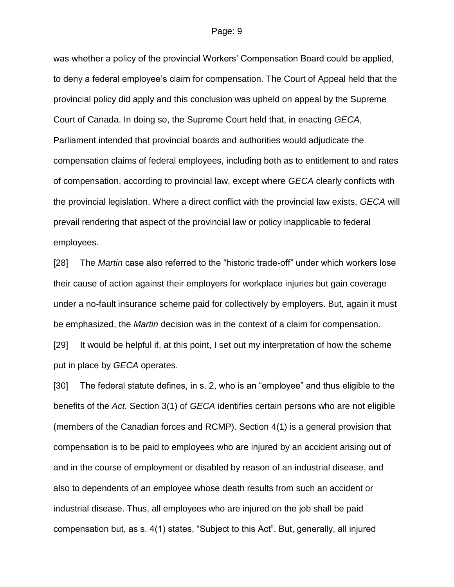was whether a policy of the provincial Workers' Compensation Board could be applied, to deny a federal employee's claim for compensation. The Court of Appeal held that the provincial policy did apply and this conclusion was upheld on appeal by the Supreme Court of Canada. In doing so, the Supreme Court held that, in enacting *GECA*, Parliament intended that provincial boards and authorities would adjudicate the compensation claims of federal employees, including both as to entitlement to and rates of compensation, according to provincial law, except where *GECA* clearly conflicts with the provincial legislation. Where a direct conflict with the provincial law exists, *GECA* will prevail rendering that aspect of the provincial law or policy inapplicable to federal employees.

[28] The *Martin* case also referred to the "historic trade-off" under which workers lose their cause of action against their employers for workplace injuries but gain coverage under a no-fault insurance scheme paid for collectively by employers. But, again it must be emphasized, the *Martin* decision was in the context of a claim for compensation.

[29] It would be helpful if, at this point, I set out my interpretation of how the scheme put in place by *GECA* operates.

[30] The federal statute defines, in s. 2, who is an "employee" and thus eligible to the benefits of the *Act*. Section 3(1) of *GECA* identifies certain persons who are not eligible (members of the Canadian forces and RCMP). Section 4(1) is a general provision that compensation is to be paid to employees who are injured by an accident arising out of and in the course of employment or disabled by reason of an industrial disease, and also to dependents of an employee whose death results from such an accident or industrial disease. Thus, all employees who are injured on the job shall be paid compensation but, as s. 4(1) states, "Subject to this Act". But, generally, all injured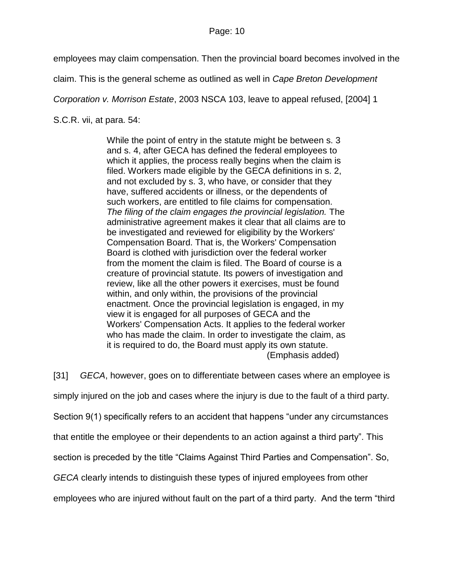employees may claim compensation. Then the provincial board becomes involved in the

claim. This is the general scheme as outlined as well in *Cape Breton Development* 

*Corporation v. Morrison Estate*, 2003 NSCA 103, leave to appeal refused, [2004] 1

S.C.R. vii, at para. 54:

While the point of entry in the statute might be between s. 3 and s. 4, after GECA has defined the federal employees to which it applies, the process really begins when the claim is filed. Workers made eligible by the GECA definitions in s. 2, and not excluded by s. 3, who have, or consider that they have, suffered accidents or illness, or the dependents of such workers, are entitled to file claims for compensation. *The filing of the claim engages the provincial legislation.* The administrative agreement makes it clear that all claims are to be investigated and reviewed for eligibility by the Workers' Compensation Board. That is, the Workers' Compensation Board is clothed with jurisdiction over the federal worker from the moment the claim is filed. The Board of course is a creature of provincial statute. Its powers of investigation and review, like all the other powers it exercises, must be found within, and only within, the provisions of the provincial enactment. Once the provincial legislation is engaged, in my view it is engaged for all purposes of GECA and the Workers' Compensation Acts. It applies to the federal worker who has made the claim. In order to investigate the claim, as it is required to do, the Board must apply its own statute. (Emphasis added)

[31] *GECA*, however, goes on to differentiate between cases where an employee is simply injured on the job and cases where the injury is due to the fault of a third party. Section 9(1) specifically refers to an accident that happens "under any circumstances that entitle the employee or their dependents to an action against a third party". This section is preceded by the title "Claims Against Third Parties and Compensation". So, *GECA* clearly intends to distinguish these types of injured employees from other

employees who are injured without fault on the part of a third party. And the term "third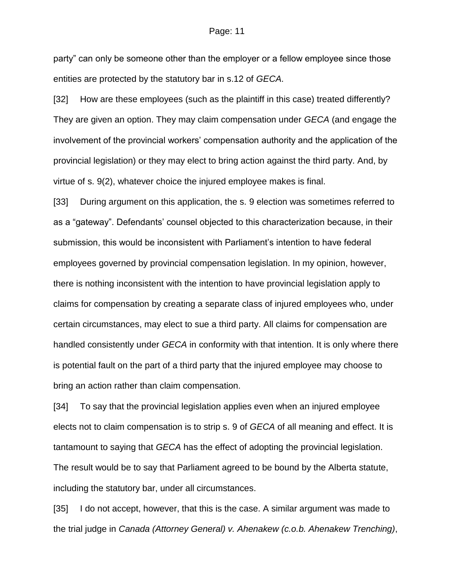party" can only be someone other than the employer or a fellow employee since those entities are protected by the statutory bar in s.12 of *GECA*.

[32] How are these employees (such as the plaintiff in this case) treated differently? They are given an option. They may claim compensation under *GECA* (and engage the involvement of the provincial workers' compensation authority and the application of the provincial legislation) or they may elect to bring action against the third party. And, by virtue of s. 9(2), whatever choice the injured employee makes is final.

[33] During argument on this application, the s. 9 election was sometimes referred to as a "gateway". Defendants' counsel objected to this characterization because, in their submission, this would be inconsistent with Parliament's intention to have federal employees governed by provincial compensation legislation. In my opinion, however, there is nothing inconsistent with the intention to have provincial legislation apply to claims for compensation by creating a separate class of injured employees who, under certain circumstances, may elect to sue a third party. All claims for compensation are handled consistently under *GECA* in conformity with that intention. It is only where there is potential fault on the part of a third party that the injured employee may choose to bring an action rather than claim compensation.

[34] To say that the provincial legislation applies even when an injured employee elects not to claim compensation is to strip s. 9 of *GECA* of all meaning and effect. It is tantamount to saying that *GECA* has the effect of adopting the provincial legislation. The result would be to say that Parliament agreed to be bound by the Alberta statute, including the statutory bar, under all circumstances.

[35] I do not accept, however, that this is the case. A similar argument was made to the trial judge in *Canada (Attorney General) v. Ahenakew (c.o.b. Ahenakew Trenching)*,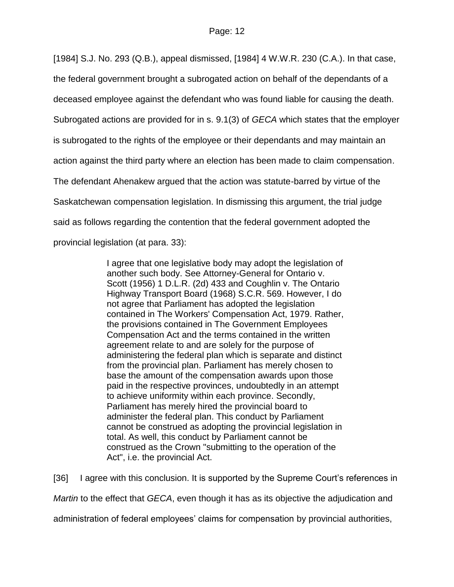[1984] S.J. No. 293 (Q.B.), appeal dismissed, [1984] 4 W.W.R. 230 (C.A.). In that case,

the federal government brought a subrogated action on behalf of the dependants of a

deceased employee against the defendant who was found liable for causing the death.

Subrogated actions are provided for in s. 9.1(3) of *GECA* which states that the employer

is subrogated to the rights of the employee or their dependants and may maintain an

action against the third party where an election has been made to claim compensation.

The defendant Ahenakew argued that the action was statute-barred by virtue of the

Saskatchewan compensation legislation. In dismissing this argument, the trial judge

said as follows regarding the contention that the federal government adopted the

provincial legislation (at para. 33):

I agree that one legislative body may adopt the legislation of another such body. See Attorney-General for Ontario v. Scott (1956) 1 D.L.R. (2d) 433 and Coughlin v. The Ontario Highway Transport Board (1968) S.C.R. 569. However, I do not agree that Parliament has adopted the legislation contained in The Workers' Compensation Act, 1979. Rather, the provisions contained in The Government Employees Compensation Act and the terms contained in the written agreement relate to and are solely for the purpose of administering the federal plan which is separate and distinct from the provincial plan. Parliament has merely chosen to base the amount of the compensation awards upon those paid in the respective provinces, undoubtedly in an attempt to achieve uniformity within each province. Secondly, Parliament has merely hired the provincial board to administer the federal plan. This conduct by Parliament cannot be construed as adopting the provincial legislation in total. As well, this conduct by Parliament cannot be construed as the Crown "submitting to the operation of the Act", i.e. the provincial Act.

[36] I agree with this conclusion. It is supported by the Supreme Court's references in

*Martin* to the effect that *GECA*, even though it has as its objective the adjudication and

administration of federal employees' claims for compensation by provincial authorities,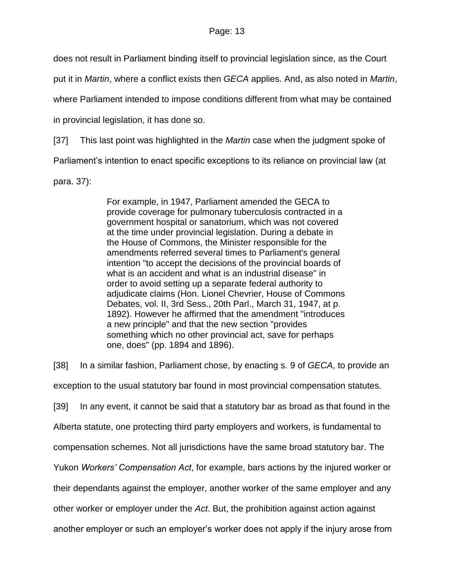does not result in Parliament binding itself to provincial legislation since, as the Court

put it in *Martin*, where a conflict exists then *GECA* applies. And, as also noted in *Martin*,

where Parliament intended to impose conditions different from what may be contained

in provincial legislation, it has done so.

[37] This last point was highlighted in the *Martin* case when the judgment spoke of

Parliament's intention to enact specific exceptions to its reliance on provincial law (at

para. 37):

For example, in 1947, Parliament amended the GECA to provide coverage for pulmonary tuberculosis contracted in a government hospital or sanatorium, which was not covered at the time under provincial legislation. During a debate in the House of Commons, the Minister responsible for the amendments referred several times to Parliament's general intention "to accept the decisions of the provincial boards of what is an accident and what is an industrial disease" in order to avoid setting up a separate federal authority to adjudicate claims (Hon. Lionel Chevrier, House of Commons Debates, vol. II, 3rd Sess., 20th Parl., March 31, 1947, at p. 1892). However he affirmed that the amendment "introduces a new principle" and that the new section "provides something which no other provincial act, save for perhaps one, does" (pp. 1894 and 1896).

[38] In a similar fashion, Parliament chose, by enacting s. 9 of *GECA*, to provide an exception to the usual statutory bar found in most provincial compensation statutes. [39] In any event, it cannot be said that a statutory bar as broad as that found in the Alberta statute, one protecting third party employers and workers, is fundamental to compensation schemes. Not all jurisdictions have the same broad statutory bar. The Yukon *Workers' Compensation Act*, for example, bars actions by the injured worker or their dependants against the employer, another worker of the same employer and any other worker or employer under the *Act*. But, the prohibition against action against another employer or such an employer's worker does not apply if the injury arose from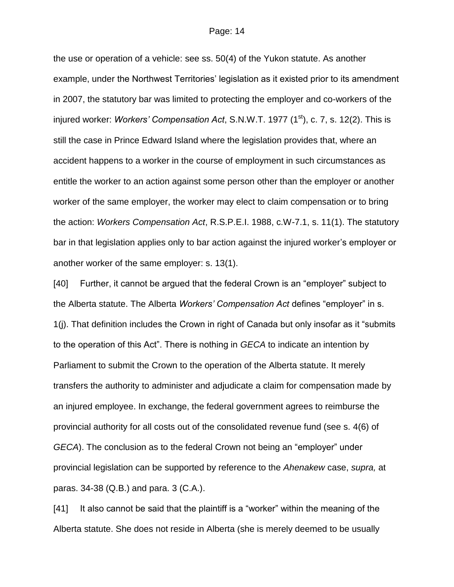the use or operation of a vehicle: see ss. 50(4) of the Yukon statute. As another example, under the Northwest Territories' legislation as it existed prior to its amendment in 2007, the statutory bar was limited to protecting the employer and co-workers of the injured worker: *Workers' Compensation Act*, S.N.W.T. 1977 (1<sup>st</sup>), c. 7, s. 12(2). This is still the case in Prince Edward Island where the legislation provides that, where an accident happens to a worker in the course of employment in such circumstances as entitle the worker to an action against some person other than the employer or another worker of the same employer, the worker may elect to claim compensation or to bring the action: *Workers Compensation Act*, R.S.P.E.I. 1988, c.W-7.1, s. 11(1). The statutory bar in that legislation applies only to bar action against the injured worker's employer or another worker of the same employer: s. 13(1).

[40] Further, it cannot be argued that the federal Crown is an "employer" subject to the Alberta statute. The Alberta *Workers' Compensation Act* defines "employer" in s. 1(j). That definition includes the Crown in right of Canada but only insofar as it "submits to the operation of this Act". There is nothing in *GECA* to indicate an intention by Parliament to submit the Crown to the operation of the Alberta statute. It merely transfers the authority to administer and adjudicate a claim for compensation made by an injured employee. In exchange, the federal government agrees to reimburse the provincial authority for all costs out of the consolidated revenue fund (see s. 4(6) of *GECA*). The conclusion as to the federal Crown not being an "employer" under provincial legislation can be supported by reference to the *Ahenakew* case, *supra,* at paras. 34-38 (Q.B.) and para. 3 (C.A.).

[41] It also cannot be said that the plaintiff is a "worker" within the meaning of the Alberta statute. She does not reside in Alberta (she is merely deemed to be usually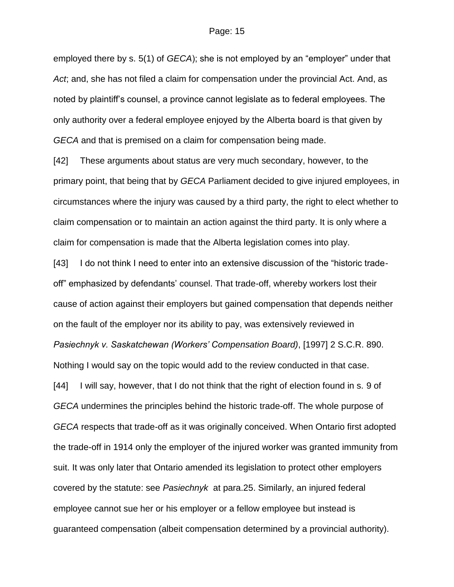employed there by s. 5(1) of *GECA*); she is not employed by an "employer" under that *Act*; and, she has not filed a claim for compensation under the provincial Act. And, as noted by plaintiff's counsel, a province cannot legislate as to federal employees. The only authority over a federal employee enjoyed by the Alberta board is that given by *GECA* and that is premised on a claim for compensation being made.

[42] These arguments about status are very much secondary, however, to the primary point, that being that by *GECA* Parliament decided to give injured employees, in circumstances where the injury was caused by a third party, the right to elect whether to claim compensation or to maintain an action against the third party. It is only where a claim for compensation is made that the Alberta legislation comes into play.

[43] I do not think I need to enter into an extensive discussion of the "historic tradeoff" emphasized by defendants' counsel. That trade-off, whereby workers lost their cause of action against their employers but gained compensation that depends neither on the fault of the employer nor its ability to pay, was extensively reviewed in *Pasiechnyk v. Saskatchewan (Workers' Compensation Board)*, [1997] 2 S.C.R. 890. Nothing I would say on the topic would add to the review conducted in that case. [44] I will say, however, that I do not think that the right of election found in s. 9 of *GECA* undermines the principles behind the historic trade-off. The whole purpose of *GECA* respects that trade-off as it was originally conceived. When Ontario first adopted the trade-off in 1914 only the employer of the injured worker was granted immunity from suit. It was only later that Ontario amended its legislation to protect other employers covered by the statute: see *Pasiechnyk* at para.25. Similarly, an injured federal employee cannot sue her or his employer or a fellow employee but instead is guaranteed compensation (albeit compensation determined by a provincial authority).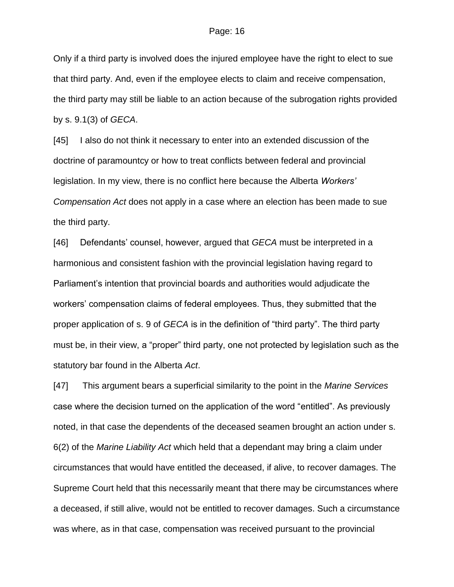Only if a third party is involved does the injured employee have the right to elect to sue that third party. And, even if the employee elects to claim and receive compensation, the third party may still be liable to an action because of the subrogation rights provided by s. 9.1(3) of *GECA*.

[45] I also do not think it necessary to enter into an extended discussion of the doctrine of paramountcy or how to treat conflicts between federal and provincial legislation. In my view, there is no conflict here because the Alberta *Workers' Compensation Act* does not apply in a case where an election has been made to sue the third party.

[46] Defendants' counsel, however, argued that *GECA* must be interpreted in a harmonious and consistent fashion with the provincial legislation having regard to Parliament's intention that provincial boards and authorities would adjudicate the workers' compensation claims of federal employees. Thus, they submitted that the proper application of s. 9 of *GECA* is in the definition of "third party". The third party must be, in their view, a "proper" third party, one not protected by legislation such as the statutory bar found in the Alberta *Act*.

[47] This argument bears a superficial similarity to the point in the *Marine Services* case where the decision turned on the application of the word "entitled". As previously noted, in that case the dependents of the deceased seamen brought an action under s. 6(2) of the *Marine Liability Act* which held that a dependant may bring a claim under circumstances that would have entitled the deceased, if alive, to recover damages. The Supreme Court held that this necessarily meant that there may be circumstances where a deceased, if still alive, would not be entitled to recover damages. Such a circumstance was where, as in that case, compensation was received pursuant to the provincial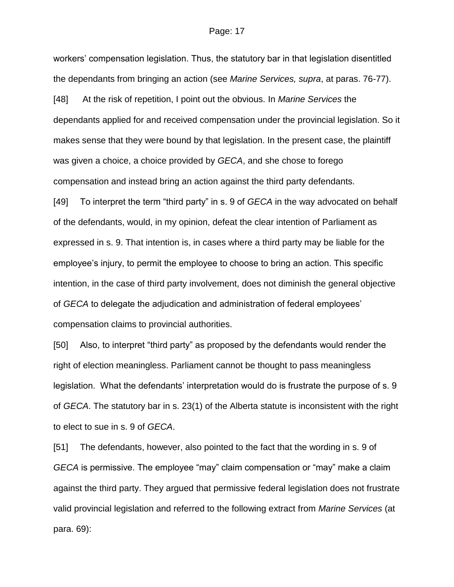workers' compensation legislation. Thus, the statutory bar in that legislation disentitled the dependants from bringing an action (see *Marine Services, supra*, at paras. 76-77). [48] At the risk of repetition, I point out the obvious. In *Marine Services* the dependants applied for and received compensation under the provincial legislation. So it makes sense that they were bound by that legislation. In the present case, the plaintiff was given a choice, a choice provided by *GECA*, and she chose to forego compensation and instead bring an action against the third party defendants. [49] To interpret the term "third party" in s. 9 of *GECA* in the way advocated on behalf of the defendants, would, in my opinion, defeat the clear intention of Parliament as expressed in s. 9. That intention is, in cases where a third party may be liable for the employee's injury, to permit the employee to choose to bring an action. This specific intention, in the case of third party involvement, does not diminish the general objective of *GECA* to delegate the adjudication and administration of federal employees' compensation claims to provincial authorities.

[50] Also, to interpret "third party" as proposed by the defendants would render the right of election meaningless. Parliament cannot be thought to pass meaningless legislation. What the defendants' interpretation would do is frustrate the purpose of s. 9 of *GECA*. The statutory bar in s. 23(1) of the Alberta statute is inconsistent with the right to elect to sue in s. 9 of *GECA*.

[51] The defendants, however, also pointed to the fact that the wording in s. 9 of *GECA* is permissive. The employee "may" claim compensation or "may" make a claim against the third party. They argued that permissive federal legislation does not frustrate valid provincial legislation and referred to the following extract from *Marine Services* (at para. 69):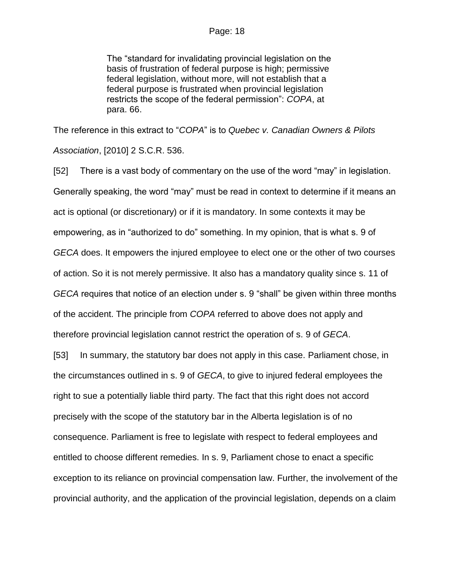The "standard for invalidating provincial legislation on the basis of frustration of federal purpose is high; permissive federal legislation, without more, will not establish that a federal purpose is frustrated when provincial legislation restricts the scope of the federal permission": *COPA*, at para. 66.

The reference in this extract to "*COPA*" is to *Quebec v. Canadian Owners & Pilots Association*, [2010] 2 S.C.R. 536.

[52] There is a vast body of commentary on the use of the word "may" in legislation. Generally speaking, the word "may" must be read in context to determine if it means an act is optional (or discretionary) or if it is mandatory. In some contexts it may be empowering, as in "authorized to do" something. In my opinion, that is what s. 9 of *GECA* does. It empowers the injured employee to elect one or the other of two courses of action. So it is not merely permissive. It also has a mandatory quality since s. 11 of *GECA* requires that notice of an election under s. 9 "shall" be given within three months of the accident. The principle from *COPA* referred to above does not apply and therefore provincial legislation cannot restrict the operation of s. 9 of *GECA*.

[53] In summary, the statutory bar does not apply in this case. Parliament chose, in the circumstances outlined in s. 9 of *GECA*, to give to injured federal employees the right to sue a potentially liable third party. The fact that this right does not accord precisely with the scope of the statutory bar in the Alberta legislation is of no consequence. Parliament is free to legislate with respect to federal employees and entitled to choose different remedies. In s. 9, Parliament chose to enact a specific exception to its reliance on provincial compensation law. Further, the involvement of the provincial authority, and the application of the provincial legislation, depends on a claim